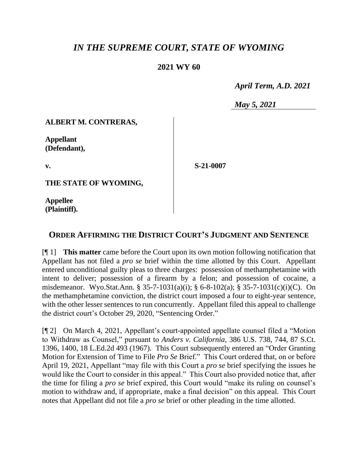# *IN THE SUPREME COURT, STATE OF WYOMING*

### **2021 WY 60**

 *April Term, A.D. 2021*

*May 5, 2021*

### **ALBERT M. CONTRERAS,**

**Appellant (Defendant),**

**v.**

**S-21-0007**

**THE STATE OF WYOMING,**

**Appellee (Plaintiff).**

## **ORDER AFFIRMING THE DISTRICT COURT'S JUDGMENT AND SENTENCE**

[¶ 1] **This matter** came before the Court upon its own motion following notification that Appellant has not filed a *pro se* brief within the time allotted by this Court. Appellant entered unconditional guilty pleas to three charges: possession of methamphetamine with intent to deliver; possession of a firearm by a felon; and possession of cocaine, a misdemeanor. Wyo.Stat.Ann. § 35-7-1031(a)(i); § 6-8-102(a); § 35-7-1031(c)(i)(C). On the methamphetamine conviction, the district court imposed a four to eight-year sentence, with the other lesser sentences to run concurrently. Appellant filed this appeal to challenge the district court's October 29, 2020, "Sentencing Order."

[¶ 2] On March 4, 2021, Appellant's court-appointed appellate counsel filed a "Motion to Withdraw as Counsel," pursuant to *Anders v. California*, 386 U.S. 738, 744, 87 S.Ct. 1396, 1400, 18 L.Ed.2d 493 (1967). This Court subsequently entered an "Order Granting Motion for Extension of Time to File *Pro Se* Brief." This Court ordered that, on or before April 19, 2021, Appellant "may file with this Court a *pro se* brief specifying the issues he would like the Court to consider in this appeal." This Court also provided notice that, after the time for filing a *pro se* brief expired, this Court would "make its ruling on counsel's motion to withdraw and, if appropriate, make a final decision" on this appeal. This Court notes that Appellant did not file a *pro se* brief or other pleading in the time allotted.